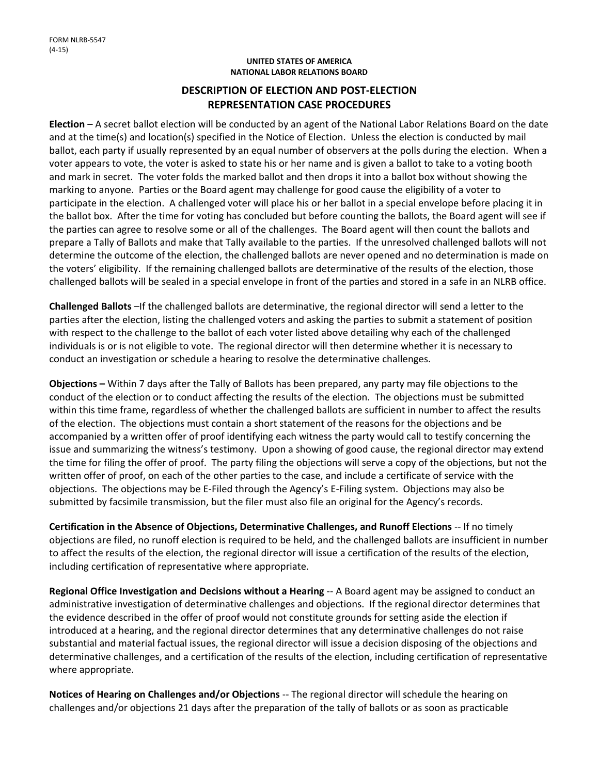## **UNITED STATES OF AMERICA NATIONAL LABOR RELATIONS BOARD**

## **DESCRIPTION OF ELECTION AND POST‐ELECTION REPRESENTATION CASE PROCEDURES**

**Election** – A secret ballot election will be conducted by an agent of the National Labor Relations Board on the date and at the time(s) and location(s) specified in the Notice of Election. Unless the election is conducted by mail ballot, each party if usually represented by an equal number of observers at the polls during the election. When a voter appears to vote, the voter is asked to state his or her name and is given a ballot to take to a voting booth and mark in secret. The voter folds the marked ballot and then drops it into a ballot box without showing the marking to anyone. Parties or the Board agent may challenge for good cause the eligibility of a voter to participate in the election. A challenged voter will place his or her ballot in a special envelope before placing it in the ballot box. After the time for voting has concluded but before counting the ballots, the Board agent will see if the parties can agree to resolve some or all of the challenges. The Board agent will then count the ballots and prepare a Tally of Ballots and make that Tally available to the parties. If the unresolved challenged ballots will not determine the outcome of the election, the challenged ballots are never opened and no determination is made on the voters' eligibility. If the remaining challenged ballots are determinative of the results of the election, those challenged ballots will be sealed in a special envelope in front of the parties and stored in a safe in an NLRB office.

**Challenged Ballots** –If the challenged ballots are determinative, the regional director will send a letter to the parties after the election, listing the challenged voters and asking the parties to submit a statement of position with respect to the challenge to the ballot of each voter listed above detailing why each of the challenged individuals is or is not eligible to vote. The regional director will then determine whether it is necessary to conduct an investigation or schedule a hearing to resolve the determinative challenges.

**Objections –** Within 7 days after the Tally of Ballots has been prepared, any party may file objections to the conduct of the election or to conduct affecting the results of the election. The objections must be submitted within this time frame, regardless of whether the challenged ballots are sufficient in number to affect the results of the election. The objections must contain a short statement of the reasons for the objections and be accompanied by a written offer of proof identifying each witness the party would call to testify concerning the issue and summarizing the witness's testimony. Upon a showing of good cause, the regional director may extend the time for filing the offer of proof. The party filing the objections will serve a copy of the objections, but not the written offer of proof, on each of the other parties to the case, and include a certificate of service with the objections. The objections may be E‐Filed through the Agency's E‐Filing system. Objections may also be submitted by facsimile transmission, but the filer must also file an original for the Agency's records.

**Certification in the Absence of Objections, Determinative Challenges, and Runoff Elections** ‐‐ If no timely objections are filed, no runoff election is required to be held, and the challenged ballots are insufficient in number to affect the results of the election, the regional director will issue a certification of the results of the election, including certification of representative where appropriate.

**Regional Office Investigation and Decisions without a Hearing** ‐‐ A Board agent may be assigned to conduct an administrative investigation of determinative challenges and objections. If the regional director determines that the evidence described in the offer of proof would not constitute grounds for setting aside the election if introduced at a hearing, and the regional director determines that any determinative challenges do not raise substantial and material factual issues, the regional director will issue a decision disposing of the objections and determinative challenges, and a certification of the results of the election, including certification of representative where appropriate.

**Notices of Hearing on Challenges and/or Objections** ‐‐ The regional director will schedule the hearing on challenges and/or objections 21 days after the preparation of the tally of ballots or as soon as practicable